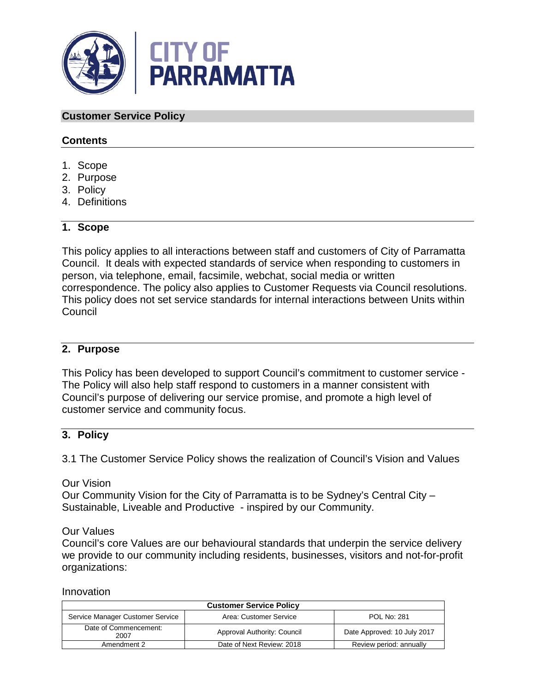

### **Customer Service Policy**

### **Contents**

- 1. Scope
- 2. Purpose
- 3. Policy
- 4. Definitions

### **1. Scope**

This policy applies to all interactions between staff and customers of City of Parramatta Council. It deals with expected standards of service when responding to customers in person, via telephone, email, facsimile, webchat, social media or written correspondence. The policy also applies to Customer Requests via Council resolutions. This policy does not set service standards for internal interactions between Units within **Council** 

### **2. Purpose**

This Policy has been developed to support Council's commitment to customer service - The Policy will also help staff respond to customers in a manner consistent with Council's purpose of delivering our service promise, and promote a high level of customer service and community focus.

## **3. Policy**

3.1 The Customer Service Policy shows the realization of Council's Vision and Values

Our Vision

Our Community Vision for the City of Parramatta is to be Sydney's Central City – Sustainable, Liveable and Productive - inspired by our Community.

Our Values

Council's core Values are our behavioural standards that underpin the service delivery we provide to our community including residents, businesses, visitors and not-for-profit organizations:

#### Innovation

| <b>Customer Service Policy</b>   |                             |                             |  |
|----------------------------------|-----------------------------|-----------------------------|--|
| Service Manager Customer Service | Area: Customer Service      | <b>POL No: 281</b>          |  |
| Date of Commencement:<br>2007    | Approval Authority: Council | Date Approved: 10 July 2017 |  |
| Amendment 2                      | Date of Next Review: 2018   | Review period: annually     |  |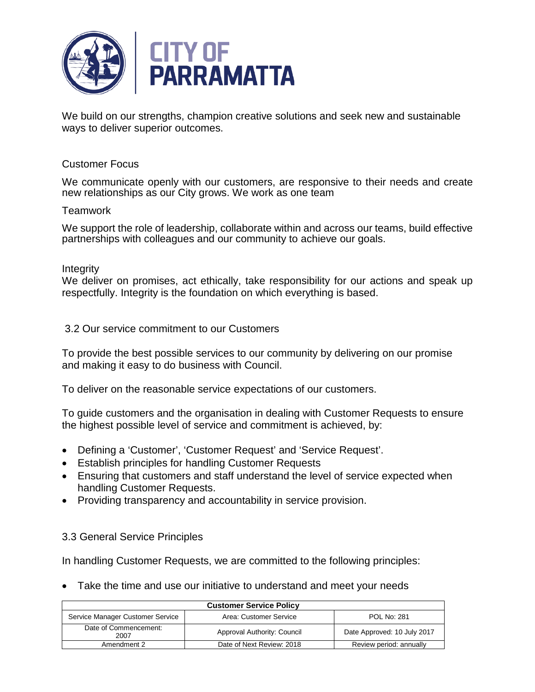

We build on our strengths, champion creative solutions and seek new and sustainable ways to deliver superior outcomes.

### Customer Focus

We communicate openly with our customers, are responsive to their needs and create new relationships as our City grows. We work as one team

#### **Teamwork**

We support the role of leadership, collaborate within and across our teams, build effective partnerships with colleagues and our community to achieve our goals.

#### **Integrity**

We deliver on promises, act ethically, take responsibility for our actions and speak up respectfully. Integrity is the foundation on which everything is based.

3.2 Our service commitment to our Customers

To provide the best possible services to our community by delivering on our promise and making it easy to do business with Council.

To deliver on the reasonable service expectations of our customers.

To guide customers and the organisation in dealing with Customer Requests to ensure the highest possible level of service and commitment is achieved, by:

- Defining a 'Customer', 'Customer Request' and 'Service Request'.
- Establish principles for handling Customer Requests
- Ensuring that customers and staff understand the level of service expected when handling Customer Requests.
- Providing transparency and accountability in service provision.

#### 3.3 General Service Principles

In handling Customer Requests, we are committed to the following principles:

• Take the time and use our initiative to understand and meet your needs

| <b>Customer Service Policy</b>   |                             |                             |  |
|----------------------------------|-----------------------------|-----------------------------|--|
| Service Manager Customer Service | Area: Customer Service      | <b>POL No: 281</b>          |  |
| Date of Commencement:<br>2007    | Approval Authority: Council | Date Approved: 10 July 2017 |  |
| Amendment 2                      | Date of Next Review: 2018   | Review period: annually     |  |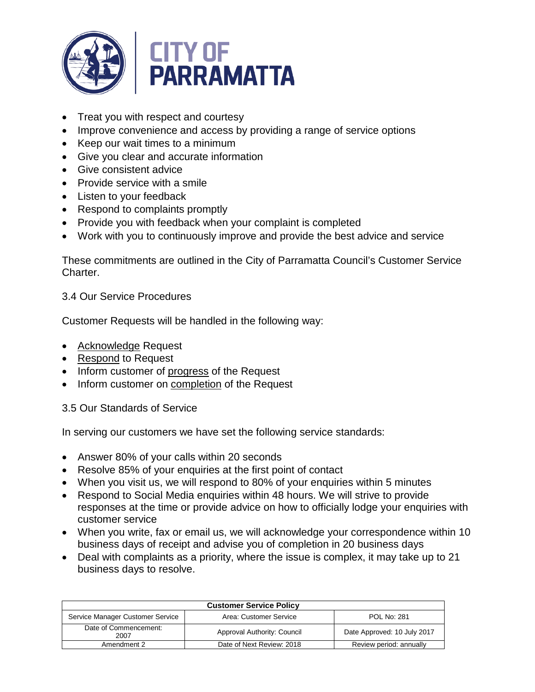

- Treat you with respect and courtesy
- Improve convenience and access by providing a range of service options
- Keep our wait times to a minimum
- Give you clear and accurate information
- Give consistent advice
- Provide service with a smile
- Listen to your feedback
- Respond to complaints promptly
- Provide you with feedback when your complaint is completed
- Work with you to continuously improve and provide the best advice and service

These commitments are outlined in the City of Parramatta Council's Customer Service Charter.

3.4 Our Service Procedures

Customer Requests will be handled in the following way:

- Acknowledge Request
- Respond to Request
- Inform customer of progress of the Request
- Inform customer on **completion** of the Request

3.5 Our Standards of Service

In serving our customers we have set the following service standards:

- Answer 80% of your calls within 20 seconds
- Resolve 85% of your enquiries at the first point of contact
- When you visit us, we will respond to 80% of your enquiries within 5 minutes
- Respond to Social Media enquiries within 48 hours. We will strive to provide responses at the time or provide advice on how to officially lodge your enquiries with customer service
- When you write, fax or email us, we will acknowledge your correspondence within 10 business days of receipt and advise you of completion in 20 business days
- Deal with complaints as a priority, where the issue is complex, it may take up to 21 business days to resolve.

| <b>Customer Service Policy</b>   |                             |                             |  |
|----------------------------------|-----------------------------|-----------------------------|--|
| Service Manager Customer Service | Area: Customer Service      | <b>POL No: 281</b>          |  |
| Date of Commencement:<br>2007    | Approval Authority: Council | Date Approved: 10 July 2017 |  |
| Amendment 2                      | Date of Next Review: 2018   | Review period: annually     |  |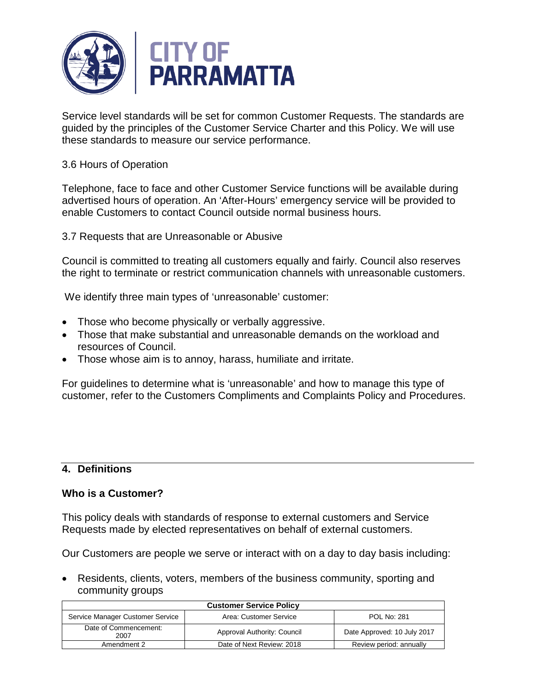

Service level standards will be set for common Customer Requests. The standards are guided by the principles of the Customer Service Charter and this Policy. We will use these standards to measure our service performance.

## 3.6 Hours of Operation

Telephone, face to face and other Customer Service functions will be available during advertised hours of operation. An 'After-Hours' emergency service will be provided to enable Customers to contact Council outside normal business hours.

3.7 Requests that are Unreasonable or Abusive

Council is committed to treating all customers equally and fairly. Council also reserves the right to terminate or restrict communication channels with unreasonable customers.

We identify three main types of 'unreasonable' customer:

- Those who become physically or verbally aggressive.
- Those that make substantial and unreasonable demands on the workload and resources of Council.
- Those whose aim is to annoy, harass, humiliate and irritate.

For guidelines to determine what is 'unreasonable' and how to manage this type of customer, refer to the Customers Compliments and Complaints Policy and Procedures.

## **4. Definitions**

## **Who is a Customer?**

This policy deals with standards of response to external customers and Service Requests made by elected representatives on behalf of external customers.

Our Customers are people we serve or interact with on a day to day basis including:

• Residents, clients, voters, members of the business community, sporting and community groups

| <b>Customer Service Policy</b>   |                             |                             |  |
|----------------------------------|-----------------------------|-----------------------------|--|
| Service Manager Customer Service | Area: Customer Service      | <b>POL No: 281</b>          |  |
| Date of Commencement:<br>2007    | Approval Authority: Council | Date Approved: 10 July 2017 |  |
| Amendment 2                      | Date of Next Review: 2018   | Review period: annually     |  |